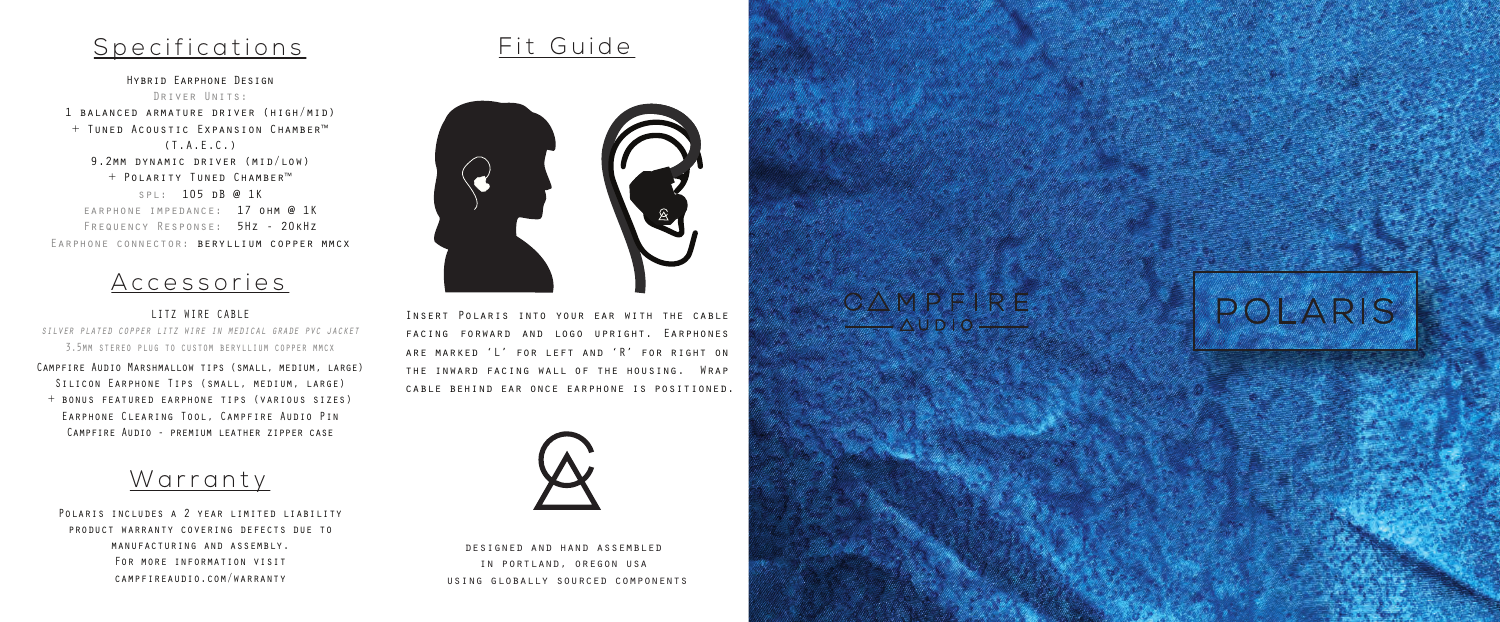## Specifications

Hybrid Earphone Design Driver Units: 1 balanced armature driver (high/mid) + Tuned Acoustic Expansion Chamber™ (T.A.E.C.) 9.2mm dynamic driver (mid/low) + Polarity Tuned Chamber™ spl: 105 dB @ 1K earphone impedance: 17 ohm @ 1K Frequency Response: 5Hz - 20kHz Earphone connector: beryllium copper mmcx

## Accessories

LITZ WIRE CABLE *silver plated copper litz wire in medical grade pvc jacket*

3.5mm stereo plug to custom beryllium copper mmcx

Campfire Audio Marshmallow tips (small, medium, large) STITCON FARPHONE TIPS (SMALL, MEDIUM, LARGE) + bonus featured earphone tips (various sizes) Earphone Clearing Tool, Campfire Audio Pin Campfire Audio - premium leather zipper case



POLARIS INCLUDES A 2 YEAR LIMITED LIABILITY product warranty covering defects due to manufacturing and assembly. For more information visit campfireaudio.com/warranty





Insert Polaris into your ear with the cable facing forward and logo upright. Earphones are marked 'L' for left and 'R' for right on the inward facing wall of the housing. Wrap cable behind ear once earphone is positioned.



designed and hand assembled in portland, oregon usa using globally sourced components CAMPFIRE  $\wedge$ UDIO $-$